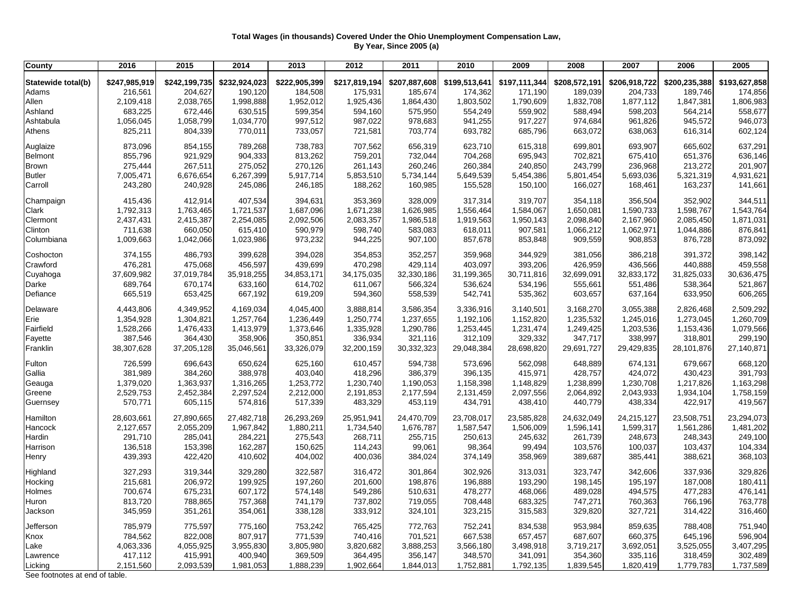## **Total Wages (in thousands) Covered Under the Ohio Unemployment Compensation Law, By Year, Since 2005 (a)**

| Statewide total(b)<br>\$222,905,399<br>\$208,572,191<br>\$200,235,388<br>\$247,985,919<br>\$242,199,735<br>\$232,924,023<br>\$217,819,194<br>\$207,887,608<br>\$199,513,641<br>\$197,111,344<br>\$206,918,722<br>\$193,627,858<br>216,561<br>204,627<br>190,120<br>184,508<br>175,931<br>185,674<br>174,362<br>189,039<br>204,733<br>189,746<br>171,190<br>Adams<br>Allen<br>2,109,418<br>2,038,765<br>1,998,888<br>1,952,012<br>1,925,436<br>1,864,430<br>1,803,502<br>1,790,609<br>1,832,708<br>1,877,112<br>1,847,381<br>1,806,983<br>Ashland<br>683,225<br>672,446<br>630,515<br>599,354<br>594,160<br>554,249<br>559,902<br>588,494<br>575,950<br>598,203<br>564,214<br>1,056,045<br>1,058,799<br>997,512<br>987,022<br>941,255<br>917,227<br>974,684<br>945,572<br>Ashtabula<br>1,034,770<br>978,683<br>961,826<br>825,211<br>804,339<br>733,057<br>721,581<br>703,774<br>693,782<br>685,796<br>663,072<br>638,063<br>616,314<br>Athens<br>770,011<br>854,155<br>789,268<br>738,783<br>707,562<br>656,319<br>615,318<br>699,801<br>873,096<br>623,710<br>693,907<br>665,602<br>855,796<br>921,929<br>904,333<br>813,262<br>759,201<br>732,044<br>704,268<br>695,943<br>702,821<br>675,410<br>651,376<br>Brown<br>267,511<br>275,052<br>270,126<br>260,246<br>260,384<br>240,850<br>243,799<br>213,272<br>275,444<br>261,143<br>236,968<br>Butler<br>7,005,471<br>6,676,654<br>6,267,399<br>5,917,714<br>5,853,510<br>5,734,144<br>5,649,539<br>5,454,386<br>5,801,454<br>5,693,036<br>5,321,319<br>243,280<br>Carroll<br>240,928<br>245,086<br>246,185<br>188,262<br>160,985<br>155,528<br>150,100<br>166,027<br>168,461<br>163,237<br>412,914<br>407,534<br>394,631<br>353,369<br>328,009<br>317,314<br>319,707<br>352,902<br>415,436<br>354,118<br>356,504<br><b>Clark</b><br>1,792,313<br>1,763,465<br>1,721,537<br>1,687,096<br>1,671,238<br>1,626,985<br>1,556,464<br>1,584,067<br>1,650,081<br>1,590,733<br>1,598,767<br>Clermont<br>2,437,431<br>2,415,387<br>2,254,085<br>2,092,506<br>2,083,357<br>1,986,518<br>1,919,563<br>1,950,143<br>2,098,840<br>2,167,960<br>2,085,450<br>Clinton<br>660,050<br>615,410<br>907,581<br>711,638<br>590,979<br>598,740<br>583,083<br>618,011<br>1,066,212<br>1,062,971<br>1,044,886<br>973,232<br>Columbiana<br>1,009,663<br>1,042,066<br>1,023,986<br>944,225<br>907,100<br>857,678<br>853,848<br>909,559<br>908,853<br>876,728<br>Coshocton<br>374,155<br>486,793<br>399,628<br>394,028<br>354,853<br>352,257<br>359,968<br>344,929<br>381,056<br>386,218<br>391,372<br>476,281<br>475,068<br>456,597<br>439,699<br>470,298<br>429,114<br>403,097<br>393,206<br>426,959<br>436,566<br>440,888<br>37,609,982<br>35,918,255<br>31,199,365<br>30,711,816<br>32,833,172<br>Cuyahoga<br>37,019,784<br>34,853,171<br>34,175,035<br>32,330,186<br>32,699,091<br>31,825,033<br>30,636,475 | 2005       |
|----------------------------------------------------------------------------------------------------------------------------------------------------------------------------------------------------------------------------------------------------------------------------------------------------------------------------------------------------------------------------------------------------------------------------------------------------------------------------------------------------------------------------------------------------------------------------------------------------------------------------------------------------------------------------------------------------------------------------------------------------------------------------------------------------------------------------------------------------------------------------------------------------------------------------------------------------------------------------------------------------------------------------------------------------------------------------------------------------------------------------------------------------------------------------------------------------------------------------------------------------------------------------------------------------------------------------------------------------------------------------------------------------------------------------------------------------------------------------------------------------------------------------------------------------------------------------------------------------------------------------------------------------------------------------------------------------------------------------------------------------------------------------------------------------------------------------------------------------------------------------------------------------------------------------------------------------------------------------------------------------------------------------------------------------------------------------------------------------------------------------------------------------------------------------------------------------------------------------------------------------------------------------------------------------------------------------------------------------------------------------------------------------------------------------------------------------------------------------------------------------------------------------------------------------------------------------------------------------------------------------------------------------------------------------------------------------------------------------------------------------------------------------------------------------------------------------------------|------------|
| Auglaize<br>Belmont<br>Champaign<br>Crawford                                                                                                                                                                                                                                                                                                                                                                                                                                                                                                                                                                                                                                                                                                                                                                                                                                                                                                                                                                                                                                                                                                                                                                                                                                                                                                                                                                                                                                                                                                                                                                                                                                                                                                                                                                                                                                                                                                                                                                                                                                                                                                                                                                                                                                                                                                                                                                                                                                                                                                                                                                                                                                                                                                                                                                                           |            |
|                                                                                                                                                                                                                                                                                                                                                                                                                                                                                                                                                                                                                                                                                                                                                                                                                                                                                                                                                                                                                                                                                                                                                                                                                                                                                                                                                                                                                                                                                                                                                                                                                                                                                                                                                                                                                                                                                                                                                                                                                                                                                                                                                                                                                                                                                                                                                                                                                                                                                                                                                                                                                                                                                                                                                                                                                                        | 174,856    |
|                                                                                                                                                                                                                                                                                                                                                                                                                                                                                                                                                                                                                                                                                                                                                                                                                                                                                                                                                                                                                                                                                                                                                                                                                                                                                                                                                                                                                                                                                                                                                                                                                                                                                                                                                                                                                                                                                                                                                                                                                                                                                                                                                                                                                                                                                                                                                                                                                                                                                                                                                                                                                                                                                                                                                                                                                                        |            |
|                                                                                                                                                                                                                                                                                                                                                                                                                                                                                                                                                                                                                                                                                                                                                                                                                                                                                                                                                                                                                                                                                                                                                                                                                                                                                                                                                                                                                                                                                                                                                                                                                                                                                                                                                                                                                                                                                                                                                                                                                                                                                                                                                                                                                                                                                                                                                                                                                                                                                                                                                                                                                                                                                                                                                                                                                                        |            |
|                                                                                                                                                                                                                                                                                                                                                                                                                                                                                                                                                                                                                                                                                                                                                                                                                                                                                                                                                                                                                                                                                                                                                                                                                                                                                                                                                                                                                                                                                                                                                                                                                                                                                                                                                                                                                                                                                                                                                                                                                                                                                                                                                                                                                                                                                                                                                                                                                                                                                                                                                                                                                                                                                                                                                                                                                                        | 558,677    |
|                                                                                                                                                                                                                                                                                                                                                                                                                                                                                                                                                                                                                                                                                                                                                                                                                                                                                                                                                                                                                                                                                                                                                                                                                                                                                                                                                                                                                                                                                                                                                                                                                                                                                                                                                                                                                                                                                                                                                                                                                                                                                                                                                                                                                                                                                                                                                                                                                                                                                                                                                                                                                                                                                                                                                                                                                                        | 946,073    |
|                                                                                                                                                                                                                                                                                                                                                                                                                                                                                                                                                                                                                                                                                                                                                                                                                                                                                                                                                                                                                                                                                                                                                                                                                                                                                                                                                                                                                                                                                                                                                                                                                                                                                                                                                                                                                                                                                                                                                                                                                                                                                                                                                                                                                                                                                                                                                                                                                                                                                                                                                                                                                                                                                                                                                                                                                                        | 602,124    |
|                                                                                                                                                                                                                                                                                                                                                                                                                                                                                                                                                                                                                                                                                                                                                                                                                                                                                                                                                                                                                                                                                                                                                                                                                                                                                                                                                                                                                                                                                                                                                                                                                                                                                                                                                                                                                                                                                                                                                                                                                                                                                                                                                                                                                                                                                                                                                                                                                                                                                                                                                                                                                                                                                                                                                                                                                                        | 637,291    |
|                                                                                                                                                                                                                                                                                                                                                                                                                                                                                                                                                                                                                                                                                                                                                                                                                                                                                                                                                                                                                                                                                                                                                                                                                                                                                                                                                                                                                                                                                                                                                                                                                                                                                                                                                                                                                                                                                                                                                                                                                                                                                                                                                                                                                                                                                                                                                                                                                                                                                                                                                                                                                                                                                                                                                                                                                                        | 636,146    |
|                                                                                                                                                                                                                                                                                                                                                                                                                                                                                                                                                                                                                                                                                                                                                                                                                                                                                                                                                                                                                                                                                                                                                                                                                                                                                                                                                                                                                                                                                                                                                                                                                                                                                                                                                                                                                                                                                                                                                                                                                                                                                                                                                                                                                                                                                                                                                                                                                                                                                                                                                                                                                                                                                                                                                                                                                                        | 201,907    |
|                                                                                                                                                                                                                                                                                                                                                                                                                                                                                                                                                                                                                                                                                                                                                                                                                                                                                                                                                                                                                                                                                                                                                                                                                                                                                                                                                                                                                                                                                                                                                                                                                                                                                                                                                                                                                                                                                                                                                                                                                                                                                                                                                                                                                                                                                                                                                                                                                                                                                                                                                                                                                                                                                                                                                                                                                                        | 4,931,621  |
|                                                                                                                                                                                                                                                                                                                                                                                                                                                                                                                                                                                                                                                                                                                                                                                                                                                                                                                                                                                                                                                                                                                                                                                                                                                                                                                                                                                                                                                                                                                                                                                                                                                                                                                                                                                                                                                                                                                                                                                                                                                                                                                                                                                                                                                                                                                                                                                                                                                                                                                                                                                                                                                                                                                                                                                                                                        | 141,661    |
|                                                                                                                                                                                                                                                                                                                                                                                                                                                                                                                                                                                                                                                                                                                                                                                                                                                                                                                                                                                                                                                                                                                                                                                                                                                                                                                                                                                                                                                                                                                                                                                                                                                                                                                                                                                                                                                                                                                                                                                                                                                                                                                                                                                                                                                                                                                                                                                                                                                                                                                                                                                                                                                                                                                                                                                                                                        | 344,511    |
|                                                                                                                                                                                                                                                                                                                                                                                                                                                                                                                                                                                                                                                                                                                                                                                                                                                                                                                                                                                                                                                                                                                                                                                                                                                                                                                                                                                                                                                                                                                                                                                                                                                                                                                                                                                                                                                                                                                                                                                                                                                                                                                                                                                                                                                                                                                                                                                                                                                                                                                                                                                                                                                                                                                                                                                                                                        | 1,543,764  |
|                                                                                                                                                                                                                                                                                                                                                                                                                                                                                                                                                                                                                                                                                                                                                                                                                                                                                                                                                                                                                                                                                                                                                                                                                                                                                                                                                                                                                                                                                                                                                                                                                                                                                                                                                                                                                                                                                                                                                                                                                                                                                                                                                                                                                                                                                                                                                                                                                                                                                                                                                                                                                                                                                                                                                                                                                                        | 1,871,031  |
|                                                                                                                                                                                                                                                                                                                                                                                                                                                                                                                                                                                                                                                                                                                                                                                                                                                                                                                                                                                                                                                                                                                                                                                                                                                                                                                                                                                                                                                                                                                                                                                                                                                                                                                                                                                                                                                                                                                                                                                                                                                                                                                                                                                                                                                                                                                                                                                                                                                                                                                                                                                                                                                                                                                                                                                                                                        | 876,841    |
|                                                                                                                                                                                                                                                                                                                                                                                                                                                                                                                                                                                                                                                                                                                                                                                                                                                                                                                                                                                                                                                                                                                                                                                                                                                                                                                                                                                                                                                                                                                                                                                                                                                                                                                                                                                                                                                                                                                                                                                                                                                                                                                                                                                                                                                                                                                                                                                                                                                                                                                                                                                                                                                                                                                                                                                                                                        | 873,092    |
|                                                                                                                                                                                                                                                                                                                                                                                                                                                                                                                                                                                                                                                                                                                                                                                                                                                                                                                                                                                                                                                                                                                                                                                                                                                                                                                                                                                                                                                                                                                                                                                                                                                                                                                                                                                                                                                                                                                                                                                                                                                                                                                                                                                                                                                                                                                                                                                                                                                                                                                                                                                                                                                                                                                                                                                                                                        | 398,142    |
|                                                                                                                                                                                                                                                                                                                                                                                                                                                                                                                                                                                                                                                                                                                                                                                                                                                                                                                                                                                                                                                                                                                                                                                                                                                                                                                                                                                                                                                                                                                                                                                                                                                                                                                                                                                                                                                                                                                                                                                                                                                                                                                                                                                                                                                                                                                                                                                                                                                                                                                                                                                                                                                                                                                                                                                                                                        | 459,558    |
|                                                                                                                                                                                                                                                                                                                                                                                                                                                                                                                                                                                                                                                                                                                                                                                                                                                                                                                                                                                                                                                                                                                                                                                                                                                                                                                                                                                                                                                                                                                                                                                                                                                                                                                                                                                                                                                                                                                                                                                                                                                                                                                                                                                                                                                                                                                                                                                                                                                                                                                                                                                                                                                                                                                                                                                                                                        |            |
| 689,764<br>670,174<br>633,160<br>614,702<br>611,067<br>566,324<br>536,624<br>534,196<br>555,661<br>551,486<br>538,364                                                                                                                                                                                                                                                                                                                                                                                                                                                                                                                                                                                                                                                                                                                                                                                                                                                                                                                                                                                                                                                                                                                                                                                                                                                                                                                                                                                                                                                                                                                                                                                                                                                                                                                                                                                                                                                                                                                                                                                                                                                                                                                                                                                                                                                                                                                                                                                                                                                                                                                                                                                                                                                                                                                  | 521,867    |
| Darke                                                                                                                                                                                                                                                                                                                                                                                                                                                                                                                                                                                                                                                                                                                                                                                                                                                                                                                                                                                                                                                                                                                                                                                                                                                                                                                                                                                                                                                                                                                                                                                                                                                                                                                                                                                                                                                                                                                                                                                                                                                                                                                                                                                                                                                                                                                                                                                                                                                                                                                                                                                                                                                                                                                                                                                                                                  |            |
| 665,519<br>619,209<br>594,360<br>542,741<br>Defiance<br>653,425<br>667,192<br>558,539<br>535,362<br>603,657<br>637,164<br>633,950                                                                                                                                                                                                                                                                                                                                                                                                                                                                                                                                                                                                                                                                                                                                                                                                                                                                                                                                                                                                                                                                                                                                                                                                                                                                                                                                                                                                                                                                                                                                                                                                                                                                                                                                                                                                                                                                                                                                                                                                                                                                                                                                                                                                                                                                                                                                                                                                                                                                                                                                                                                                                                                                                                      | 606,265    |
| Delaware<br>4,443,806<br>4,349,952<br>4,045,400<br>3,168,270<br>4,169,034<br>3,888,814<br>3,586,354<br>3,336,916<br>3,140,501<br>3,055,388<br>2,826,468                                                                                                                                                                                                                                                                                                                                                                                                                                                                                                                                                                                                                                                                                                                                                                                                                                                                                                                                                                                                                                                                                                                                                                                                                                                                                                                                                                                                                                                                                                                                                                                                                                                                                                                                                                                                                                                                                                                                                                                                                                                                                                                                                                                                                                                                                                                                                                                                                                                                                                                                                                                                                                                                                | 2,509,292  |
| Erie<br>1,354,928<br>1,250,774<br>1,304,821<br>1,257,764<br>1,236,449<br>1,237,655<br>1,192,106<br>1,152,820<br>1,235,532<br>1,245,016<br>1,273,045                                                                                                                                                                                                                                                                                                                                                                                                                                                                                                                                                                                                                                                                                                                                                                                                                                                                                                                                                                                                                                                                                                                                                                                                                                                                                                                                                                                                                                                                                                                                                                                                                                                                                                                                                                                                                                                                                                                                                                                                                                                                                                                                                                                                                                                                                                                                                                                                                                                                                                                                                                                                                                                                                    | 1,260,709  |
| Fairfield<br>1,290,786<br>1,253,445<br>1,528,266<br>1,476,433<br>1,413,979<br>1,373,646<br>1,335,928<br>1,231,474<br>1,249,425<br>1,203,536<br>1,153,436                                                                                                                                                                                                                                                                                                                                                                                                                                                                                                                                                                                                                                                                                                                                                                                                                                                                                                                                                                                                                                                                                                                                                                                                                                                                                                                                                                                                                                                                                                                                                                                                                                                                                                                                                                                                                                                                                                                                                                                                                                                                                                                                                                                                                                                                                                                                                                                                                                                                                                                                                                                                                                                                               | 1,079,566  |
| Fayette<br>350,851<br>312,109<br>347,717<br>318,801<br>387,546<br>364,430<br>358,906<br>336,934<br>321,116<br>329,332<br>338,997                                                                                                                                                                                                                                                                                                                                                                                                                                                                                                                                                                                                                                                                                                                                                                                                                                                                                                                                                                                                                                                                                                                                                                                                                                                                                                                                                                                                                                                                                                                                                                                                                                                                                                                                                                                                                                                                                                                                                                                                                                                                                                                                                                                                                                                                                                                                                                                                                                                                                                                                                                                                                                                                                                       | 299,190    |
| Franklin<br>38,307,628<br>37,205,128<br>35,046,561<br>33,326,079<br>32,200,159<br>30,332,323<br>29,048,384<br>28,698,820<br>29,691,727<br>29,429,835<br>28,101,876                                                                                                                                                                                                                                                                                                                                                                                                                                                                                                                                                                                                                                                                                                                                                                                                                                                                                                                                                                                                                                                                                                                                                                                                                                                                                                                                                                                                                                                                                                                                                                                                                                                                                                                                                                                                                                                                                                                                                                                                                                                                                                                                                                                                                                                                                                                                                                                                                                                                                                                                                                                                                                                                     | 27,140,871 |
| Fulton<br>696,643<br>650,624<br>562,098<br>726,599<br>625,160<br>610,457<br>594,738<br>573,696<br>648,889<br>679,667<br>674,131                                                                                                                                                                                                                                                                                                                                                                                                                                                                                                                                                                                                                                                                                                                                                                                                                                                                                                                                                                                                                                                                                                                                                                                                                                                                                                                                                                                                                                                                                                                                                                                                                                                                                                                                                                                                                                                                                                                                                                                                                                                                                                                                                                                                                                                                                                                                                                                                                                                                                                                                                                                                                                                                                                        | 668,120    |
| 396,135<br>Gallia<br>381,989<br>384,260<br>388,978<br>403,040<br>418,296<br>386,379<br>415,971<br>428,757<br>424,072<br>430,423                                                                                                                                                                                                                                                                                                                                                                                                                                                                                                                                                                                                                                                                                                                                                                                                                                                                                                                                                                                                                                                                                                                                                                                                                                                                                                                                                                                                                                                                                                                                                                                                                                                                                                                                                                                                                                                                                                                                                                                                                                                                                                                                                                                                                                                                                                                                                                                                                                                                                                                                                                                                                                                                                                        | 391,793    |
| 1,379,020<br>1,363,937<br>Geauga<br>1,316,265<br>1,253,772<br>1,230,740<br>1,190,053<br>1,158,398<br>1,148,829<br>1,238,899<br>1,230,708<br>1,217,826                                                                                                                                                                                                                                                                                                                                                                                                                                                                                                                                                                                                                                                                                                                                                                                                                                                                                                                                                                                                                                                                                                                                                                                                                                                                                                                                                                                                                                                                                                                                                                                                                                                                                                                                                                                                                                                                                                                                                                                                                                                                                                                                                                                                                                                                                                                                                                                                                                                                                                                                                                                                                                                                                  | 1,163,298  |
| 2,452,384<br>Greene<br>2,529,753<br>2,297,524<br>2,212,000<br>2,191,853<br>2,177,594<br>2,131,459<br>2,097,556<br>2,064,892<br>2,043,933<br>1,934,104                                                                                                                                                                                                                                                                                                                                                                                                                                                                                                                                                                                                                                                                                                                                                                                                                                                                                                                                                                                                                                                                                                                                                                                                                                                                                                                                                                                                                                                                                                                                                                                                                                                                                                                                                                                                                                                                                                                                                                                                                                                                                                                                                                                                                                                                                                                                                                                                                                                                                                                                                                                                                                                                                  | 1,758,159  |
| 570,771<br>Guernsey<br>605,115<br>574,816<br>517,339<br>483,329<br>453,119<br>434,791<br>438,410<br>440,779<br>438,334<br>422,917                                                                                                                                                                                                                                                                                                                                                                                                                                                                                                                                                                                                                                                                                                                                                                                                                                                                                                                                                                                                                                                                                                                                                                                                                                                                                                                                                                                                                                                                                                                                                                                                                                                                                                                                                                                                                                                                                                                                                                                                                                                                                                                                                                                                                                                                                                                                                                                                                                                                                                                                                                                                                                                                                                      | 419,567    |
| Hamilton<br>28,603,661<br>27,890,665<br>27,482,718<br>26,293,269<br>25,951,941<br>24,470,709<br>23,708,017<br>23,585,828<br>24,632,049<br>23,508,751<br>24,215,127                                                                                                                                                                                                                                                                                                                                                                                                                                                                                                                                                                                                                                                                                                                                                                                                                                                                                                                                                                                                                                                                                                                                                                                                                                                                                                                                                                                                                                                                                                                                                                                                                                                                                                                                                                                                                                                                                                                                                                                                                                                                                                                                                                                                                                                                                                                                                                                                                                                                                                                                                                                                                                                                     | 23,294,073 |
| 2,127,657<br>2,055,209<br>Hancock<br>1,967,842<br>1,880,211<br>1,734,540<br>1,676,787<br>1,587,547<br>1,506,009<br>1,596,141<br>1,599,317<br>1,561,286                                                                                                                                                                                                                                                                                                                                                                                                                                                                                                                                                                                                                                                                                                                                                                                                                                                                                                                                                                                                                                                                                                                                                                                                                                                                                                                                                                                                                                                                                                                                                                                                                                                                                                                                                                                                                                                                                                                                                                                                                                                                                                                                                                                                                                                                                                                                                                                                                                                                                                                                                                                                                                                                                 | 1,481,202  |
| Hardin<br>291,710<br>285,041<br>284,221<br>275,543<br>268,711<br>255,715<br>250,613<br>245,632<br>261,739<br>248,673<br>248,343                                                                                                                                                                                                                                                                                                                                                                                                                                                                                                                                                                                                                                                                                                                                                                                                                                                                                                                                                                                                                                                                                                                                                                                                                                                                                                                                                                                                                                                                                                                                                                                                                                                                                                                                                                                                                                                                                                                                                                                                                                                                                                                                                                                                                                                                                                                                                                                                                                                                                                                                                                                                                                                                                                        | 249,100    |
| 153,398<br>162,287<br>150,625<br>114,243<br>99,061<br>98,364<br>99,494<br>103,576<br>136,518<br>100,037<br>103,437<br>Harrison                                                                                                                                                                                                                                                                                                                                                                                                                                                                                                                                                                                                                                                                                                                                                                                                                                                                                                                                                                                                                                                                                                                                                                                                                                                                                                                                                                                                                                                                                                                                                                                                                                                                                                                                                                                                                                                                                                                                                                                                                                                                                                                                                                                                                                                                                                                                                                                                                                                                                                                                                                                                                                                                                                         | 104,334    |
| 439,393<br>410,602<br>400,036<br>374,149<br>358,969<br>389,687<br>422,420<br>404,002<br>384,024<br>385,441<br>388,621<br>Henry                                                                                                                                                                                                                                                                                                                                                                                                                                                                                                                                                                                                                                                                                                                                                                                                                                                                                                                                                                                                                                                                                                                                                                                                                                                                                                                                                                                                                                                                                                                                                                                                                                                                                                                                                                                                                                                                                                                                                                                                                                                                                                                                                                                                                                                                                                                                                                                                                                                                                                                                                                                                                                                                                                         | 368,103    |
|                                                                                                                                                                                                                                                                                                                                                                                                                                                                                                                                                                                                                                                                                                                                                                                                                                                                                                                                                                                                                                                                                                                                                                                                                                                                                                                                                                                                                                                                                                                                                                                                                                                                                                                                                                                                                                                                                                                                                                                                                                                                                                                                                                                                                                                                                                                                                                                                                                                                                                                                                                                                                                                                                                                                                                                                                                        |            |
| <b>Highland</b><br>327,293<br>319,344<br>329,280<br>322,587<br>302,926<br>323,747<br>316,472<br>301,864<br>313,031<br>342,606<br>337,936                                                                                                                                                                                                                                                                                                                                                                                                                                                                                                                                                                                                                                                                                                                                                                                                                                                                                                                                                                                                                                                                                                                                                                                                                                                                                                                                                                                                                                                                                                                                                                                                                                                                                                                                                                                                                                                                                                                                                                                                                                                                                                                                                                                                                                                                                                                                                                                                                                                                                                                                                                                                                                                                                               | 329,826    |
| 206,972<br>196,888<br>193,290<br>Hocking<br>215,681<br>199,925<br>197,260<br>201,600<br>198,876<br>198,145<br>195,197<br>187,008                                                                                                                                                                                                                                                                                                                                                                                                                                                                                                                                                                                                                                                                                                                                                                                                                                                                                                                                                                                                                                                                                                                                                                                                                                                                                                                                                                                                                                                                                                                                                                                                                                                                                                                                                                                                                                                                                                                                                                                                                                                                                                                                                                                                                                                                                                                                                                                                                                                                                                                                                                                                                                                                                                       | 180,411    |
| 700,674<br>675,231<br>549,286<br>478,277<br>468,066<br>Holmes<br>607,172<br>574,148<br>510,631<br>489,028<br>494,575<br>477,283                                                                                                                                                                                                                                                                                                                                                                                                                                                                                                                                                                                                                                                                                                                                                                                                                                                                                                                                                                                                                                                                                                                                                                                                                                                                                                                                                                                                                                                                                                                                                                                                                                                                                                                                                                                                                                                                                                                                                                                                                                                                                                                                                                                                                                                                                                                                                                                                                                                                                                                                                                                                                                                                                                        | 476,141    |
| 737,802<br>683,325<br>813,720<br>788,865<br>757,368<br>741,179<br>719,055<br>708,448<br>747,271<br>760,363<br>766,196<br>Huron                                                                                                                                                                                                                                                                                                                                                                                                                                                                                                                                                                                                                                                                                                                                                                                                                                                                                                                                                                                                                                                                                                                                                                                                                                                                                                                                                                                                                                                                                                                                                                                                                                                                                                                                                                                                                                                                                                                                                                                                                                                                                                                                                                                                                                                                                                                                                                                                                                                                                                                                                                                                                                                                                                         | 763,778    |
| 345,959<br>351,261<br>354,061<br>338,128<br>333,912<br>324,101<br>323,215<br>315,583<br>329,820<br>327,721<br>314,422<br>Jackson                                                                                                                                                                                                                                                                                                                                                                                                                                                                                                                                                                                                                                                                                                                                                                                                                                                                                                                                                                                                                                                                                                                                                                                                                                                                                                                                                                                                                                                                                                                                                                                                                                                                                                                                                                                                                                                                                                                                                                                                                                                                                                                                                                                                                                                                                                                                                                                                                                                                                                                                                                                                                                                                                                       | 316,460    |
| 775,597<br>775,160<br>753,242<br>772,763<br>752,241<br>834,538<br>953,984<br>Jefferson<br>785,979<br>765,425<br>859,635<br>788,408                                                                                                                                                                                                                                                                                                                                                                                                                                                                                                                                                                                                                                                                                                                                                                                                                                                                                                                                                                                                                                                                                                                                                                                                                                                                                                                                                                                                                                                                                                                                                                                                                                                                                                                                                                                                                                                                                                                                                                                                                                                                                                                                                                                                                                                                                                                                                                                                                                                                                                                                                                                                                                                                                                     | 751,940    |
| Knox<br>784,562<br>822,008<br>807,917<br>771,539<br>701,521<br>667,538<br>740,416<br>657,457<br>687,607<br>660,375<br>645,196                                                                                                                                                                                                                                                                                                                                                                                                                                                                                                                                                                                                                                                                                                                                                                                                                                                                                                                                                                                                                                                                                                                                                                                                                                                                                                                                                                                                                                                                                                                                                                                                                                                                                                                                                                                                                                                                                                                                                                                                                                                                                                                                                                                                                                                                                                                                                                                                                                                                                                                                                                                                                                                                                                          | 596,904    |
| 4,063,336<br>4,055,925<br>3,888,253<br>Lake<br>3,955,830<br>3,805,980<br>3,820,682<br>3,566,180<br>3,498,918<br>3,719,217<br>3,692,051<br>3,525,055                                                                                                                                                                                                                                                                                                                                                                                                                                                                                                                                                                                                                                                                                                                                                                                                                                                                                                                                                                                                                                                                                                                                                                                                                                                                                                                                                                                                                                                                                                                                                                                                                                                                                                                                                                                                                                                                                                                                                                                                                                                                                                                                                                                                                                                                                                                                                                                                                                                                                                                                                                                                                                                                                    | 3,407,295  |
| 417,112<br>415,991<br>400,940<br>369,509<br>364,495<br>356,147<br>348,570<br>341,091<br>354,360<br>335,116<br>318,459<br>Lawrence                                                                                                                                                                                                                                                                                                                                                                                                                                                                                                                                                                                                                                                                                                                                                                                                                                                                                                                                                                                                                                                                                                                                                                                                                                                                                                                                                                                                                                                                                                                                                                                                                                                                                                                                                                                                                                                                                                                                                                                                                                                                                                                                                                                                                                                                                                                                                                                                                                                                                                                                                                                                                                                                                                      | 302,489    |
| 2,151,560<br>2,093,539<br>1,888,239<br>1,844,013<br>1,752,881<br>1,792,135<br>Licking<br>1,981,053<br>1,902,664<br>1,839,545<br>1,820,419<br>1,779,783<br>$O = 4$                                                                                                                                                                                                                                                                                                                                                                                                                                                                                                                                                                                                                                                                                                                                                                                                                                                                                                                                                                                                                                                                                                                                                                                                                                                                                                                                                                                                                                                                                                                                                                                                                                                                                                                                                                                                                                                                                                                                                                                                                                                                                                                                                                                                                                                                                                                                                                                                                                                                                                                                                                                                                                                                      | 1,737,589  |

See footnotes at end of table.